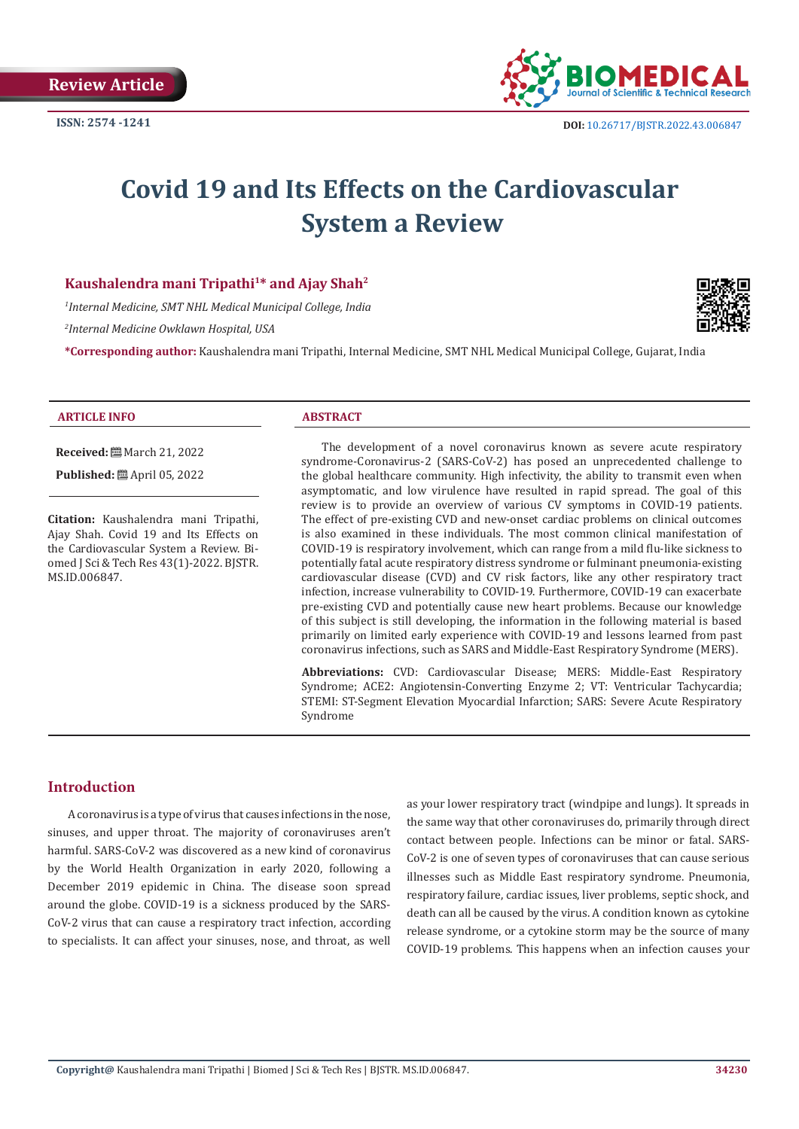

# **Covid 19 and Its Effects on the Cardiovascular System a Review**

# **Kaushalendra mani Tripathi1\* and Ajay Shah2**

*1 Internal Medicine, SMT NHL Medical Municipal College, India*

*2 Internal Medicine Owklawn Hospital, USA*

**\*Corresponding author:** Kaushalendra mani Tripathi, Internal Medicine, SMT NHL Medical Municipal College, Gujarat, India



#### **ARTICLE INFO ABSTRACT**

**Received:** March 21, 2022

**Published:** ■ April 05, 2022

**Citation:** Kaushalendra mani Tripathi, Ajay Shah. Covid 19 and Its Effects on the Cardiovascular System a Review. Biomed J Sci & Tech Res 43(1)-2022. BJSTR. MS.ID.006847.

The development of a novel coronavirus known as severe acute respiratory syndrome-Coronavirus-2 (SARS-CoV-2) has posed an unprecedented challenge to the global healthcare community. High infectivity, the ability to transmit even when asymptomatic, and low virulence have resulted in rapid spread. The goal of this review is to provide an overview of various CV symptoms in COVID-19 patients. The effect of pre-existing CVD and new-onset cardiac problems on clinical outcomes is also examined in these individuals. The most common clinical manifestation of COVID-19 is respiratory involvement, which can range from a mild flu-like sickness to potentially fatal acute respiratory distress syndrome or fulminant pneumonia-existing cardiovascular disease (CVD) and CV risk factors, like any other respiratory tract infection, increase vulnerability to COVID-19. Furthermore, COVID-19 can exacerbate pre-existing CVD and potentially cause new heart problems. Because our knowledge of this subject is still developing, the information in the following material is based primarily on limited early experience with COVID-19 and lessons learned from past coronavirus infections, such as SARS and Middle-East Respiratory Syndrome (MERS).

**Abbreviations:** CVD: Cardiovascular Disease; MERS: Middle-East Respiratory Syndrome; ACE2: Angiotensin-Converting Enzyme 2; VT: Ventricular Tachycardia; STEMI: ST-Segment Elevation Myocardial Infarction; SARS: Severe Acute Respiratory Syndrome

# **Introduction**

A coronavirus is a type of virus that causes infections in the nose, sinuses, and upper throat. The majority of coronaviruses aren't harmful. SARS-CoV-2 was discovered as a new kind of coronavirus by the World Health Organization in early 2020, following a December 2019 epidemic in China. The disease soon spread around the globe. COVID-19 is a sickness produced by the SARS-CoV-2 virus that can cause a respiratory tract infection, according to specialists. It can affect your sinuses, nose, and throat, as well

as your lower respiratory tract (windpipe and lungs). It spreads in the same way that other coronaviruses do, primarily through direct contact between people. Infections can be minor or fatal. SARS-CoV-2 is one of seven types of coronaviruses that can cause serious illnesses such as Middle East respiratory syndrome. Pneumonia, respiratory failure, cardiac issues, liver problems, septic shock, and death can all be caused by the virus. A condition known as cytokine release syndrome, or a cytokine storm may be the source of many COVID-19 problems. This happens when an infection causes your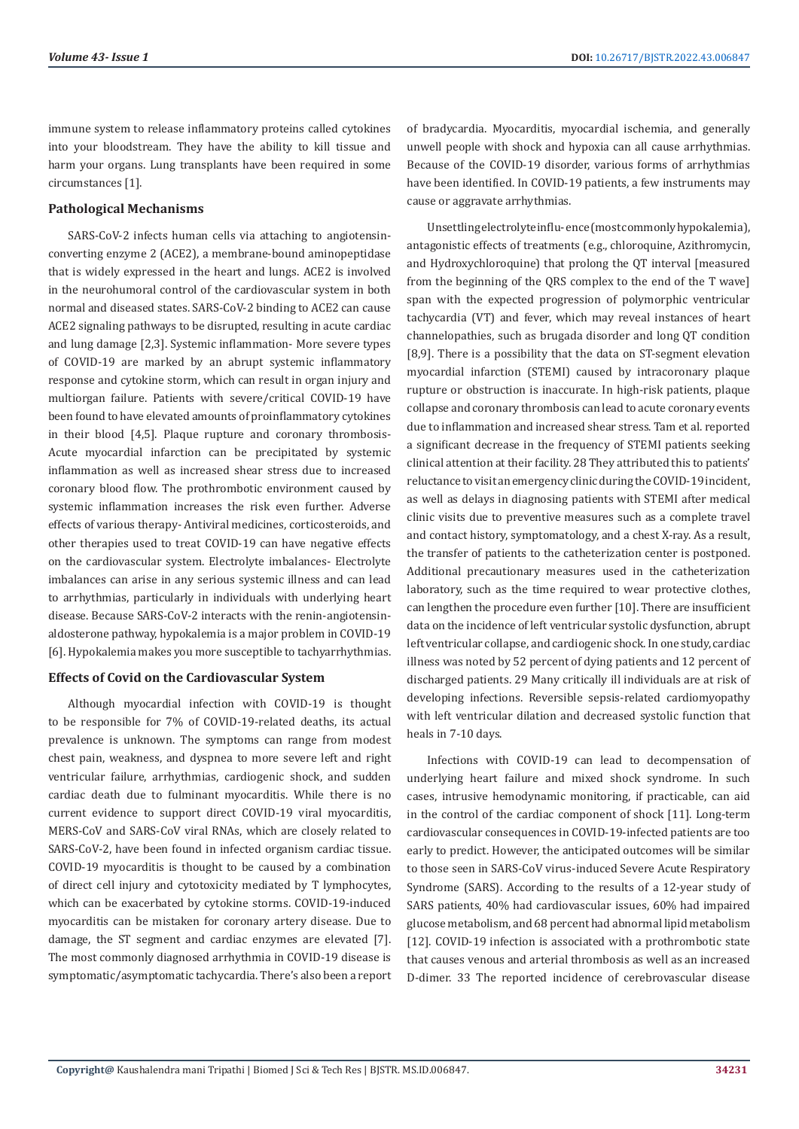immune system to release inflammatory proteins called cytokines into your bloodstream. They have the ability to kill tissue and harm your organs. Lung transplants have been required in some circumstances [1].

### **Pathological Mechanisms**

SARS-CoV-2 infects human cells via attaching to angiotensinconverting enzyme 2 (ACE2), a membrane-bound aminopeptidase that is widely expressed in the heart and lungs. ACE2 is involved in the neurohumoral control of the cardiovascular system in both normal and diseased states. SARS-CoV-2 binding to ACE2 can cause ACE2 signaling pathways to be disrupted, resulting in acute cardiac and lung damage [2,3]. Systemic inflammation- More severe types of COVID-19 are marked by an abrupt systemic inflammatory response and cytokine storm, which can result in organ injury and multiorgan failure. Patients with severe/critical COVID-19 have been found to have elevated amounts of proinflammatory cytokines in their blood [4,5]. Plaque rupture and coronary thrombosis-Acute myocardial infarction can be precipitated by systemic inflammation as well as increased shear stress due to increased coronary blood flow. The prothrombotic environment caused by systemic inflammation increases the risk even further. Adverse effects of various therapy- Antiviral medicines, corticosteroids, and other therapies used to treat COVID-19 can have negative effects on the cardiovascular system. Electrolyte imbalances- Electrolyte imbalances can arise in any serious systemic illness and can lead to arrhythmias, particularly in individuals with underlying heart disease. Because SARS-CoV-2 interacts with the renin-angiotensinaldosterone pathway, hypokalemia is a major problem in COVID-19 [6]. Hypokalemia makes you more susceptible to tachyarrhythmias.

#### **Effects of Covid on the Cardiovascular System**

Although myocardial infection with COVID-19 is thought to be responsible for 7% of COVID-19-related deaths, its actual prevalence is unknown. The symptoms can range from modest chest pain, weakness, and dyspnea to more severe left and right ventricular failure, arrhythmias, cardiogenic shock, and sudden cardiac death due to fulminant myocarditis. While there is no current evidence to support direct COVID-19 viral myocarditis, MERS-CoV and SARS-CoV viral RNAs, which are closely related to SARS-CoV-2, have been found in infected organism cardiac tissue. COVID-19 myocarditis is thought to be caused by a combination of direct cell injury and cytotoxicity mediated by T lymphocytes, which can be exacerbated by cytokine storms. COVID-19-induced myocarditis can be mistaken for coronary artery disease. Due to damage, the ST segment and cardiac enzymes are elevated [7]. The most commonly diagnosed arrhythmia in COVID-19 disease is symptomatic/asymptomatic tachycardia. There's also been a report of bradycardia. Myocarditis, myocardial ischemia, and generally unwell people with shock and hypoxia can all cause arrhythmias. Because of the COVID-19 disorder, various forms of arrhythmias have been identified. In COVID-19 patients, a few instruments may cause or aggravate arrhythmias.

Unsettling electrolyte influ- ence (most commonly hypokalemia), antagonistic effects of treatments (e.g., chloroquine, Azithromycin, and Hydroxychloroquine) that prolong the QT interval [measured from the beginning of the QRS complex to the end of the T wave] span with the expected progression of polymorphic ventricular tachycardia (VT) and fever, which may reveal instances of heart channelopathies, such as brugada disorder and long QT condition [8,9]. There is a possibility that the data on ST-segment elevation myocardial infarction (STEMI) caused by intracoronary plaque rupture or obstruction is inaccurate. In high-risk patients, plaque collapse and coronary thrombosis can lead to acute coronary events due to inflammation and increased shear stress. Tam et al. reported a significant decrease in the frequency of STEMI patients seeking clinical attention at their facility. 28 They attributed this to patients' reluctance to visit an emergency clinic during the COVID-19 incident, as well as delays in diagnosing patients with STEMI after medical clinic visits due to preventive measures such as a complete travel and contact history, symptomatology, and a chest X-ray. As a result, the transfer of patients to the catheterization center is postponed. Additional precautionary measures used in the catheterization laboratory, such as the time required to wear protective clothes, can lengthen the procedure even further [10]. There are insufficient data on the incidence of left ventricular systolic dysfunction, abrupt left ventricular collapse, and cardiogenic shock. In one study, cardiac illness was noted by 52 percent of dying patients and 12 percent of discharged patients. 29 Many critically ill individuals are at risk of developing infections. Reversible sepsis-related cardiomyopathy with left ventricular dilation and decreased systolic function that heals in 7-10 days.

Infections with COVID-19 can lead to decompensation of underlying heart failure and mixed shock syndrome. In such cases, intrusive hemodynamic monitoring, if practicable, can aid in the control of the cardiac component of shock [11]. Long-term cardiovascular consequences in COVID-19-infected patients are too early to predict. However, the anticipated outcomes will be similar to those seen in SARS-CoV virus-induced Severe Acute Respiratory Syndrome (SARS). According to the results of a 12-year study of SARS patients, 40% had cardiovascular issues, 60% had impaired glucose metabolism, and 68 percent had abnormal lipid metabolism [12]. COVID-19 infection is associated with a prothrombotic state that causes venous and arterial thrombosis as well as an increased D-dimer. 33 The reported incidence of cerebrovascular disease